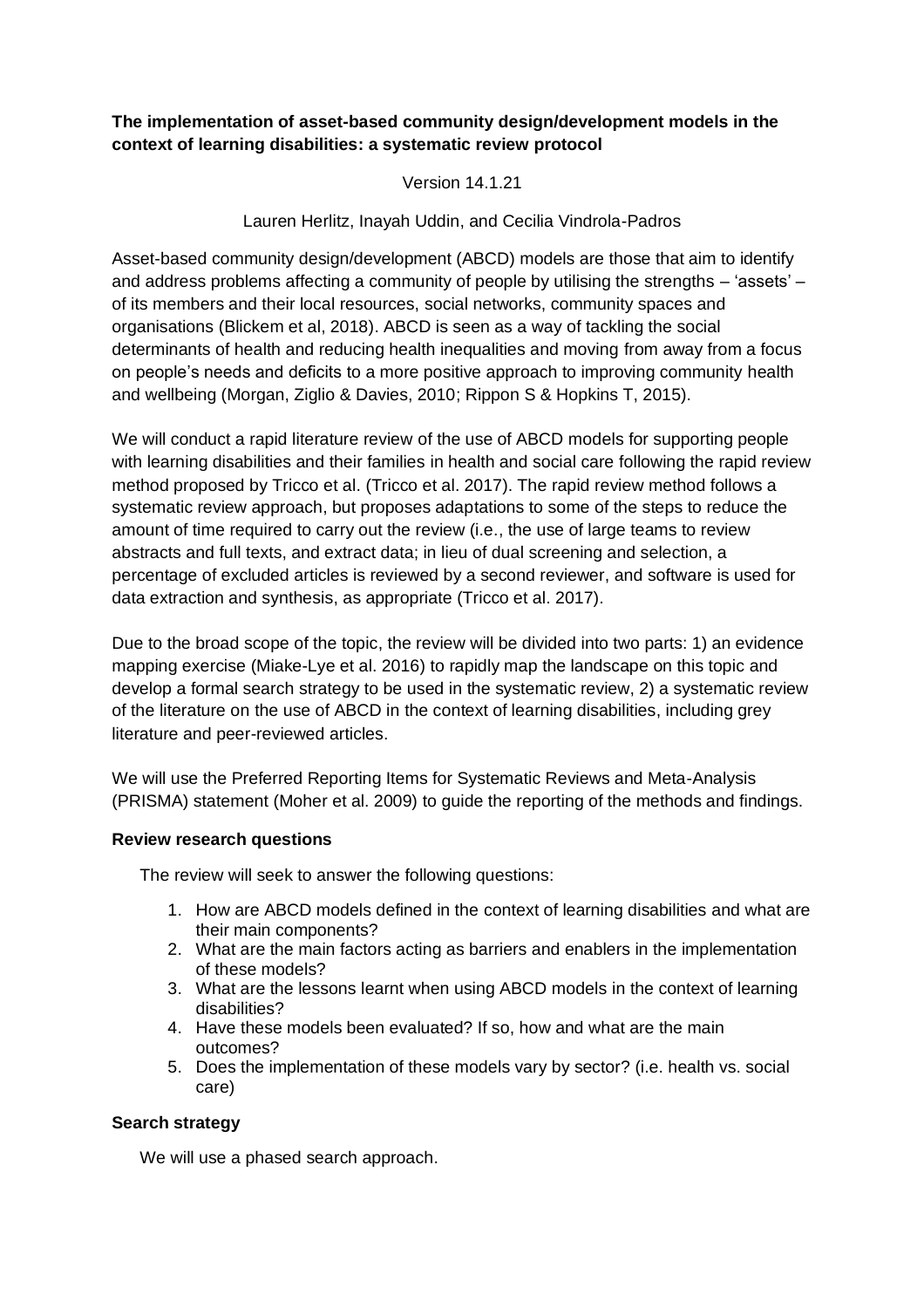# **The implementation of asset-based community design/development models in the context of learning disabilities: a systematic review protocol**

Version 14.1.21

Lauren Herlitz, Inayah Uddin, and Cecilia Vindrola-Padros

Asset-based community design/development (ABCD) models are those that aim to identify and address problems affecting a community of people by utilising the strengths – 'assets' – of its members and their local resources, social networks, community spaces and organisations (Blickem et al, 2018). ABCD is seen as a way of tackling the social determinants of health and reducing health inequalities and moving from away from a focus on people's needs and deficits to a more positive approach to improving community health and wellbeing (Morgan, Ziglio & Davies, 2010; Rippon S & Hopkins T, 2015).

We will conduct a rapid literature review of the use of ABCD models for supporting people with learning disabilities and their families in health and social care following the rapid review method proposed by Tricco et al. (Tricco et al. 2017). The rapid review method follows a systematic review approach, but proposes adaptations to some of the steps to reduce the amount of time required to carry out the review (i.e., the use of large teams to review abstracts and full texts, and extract data; in lieu of dual screening and selection, a percentage of excluded articles is reviewed by a second reviewer, and software is used for data extraction and synthesis, as appropriate (Tricco et al. 2017).

Due to the broad scope of the topic, the review will be divided into two parts: 1) an evidence mapping exercise (Miake-Lye et al. 2016) to rapidly map the landscape on this topic and develop a formal search strategy to be used in the systematic review, 2) a systematic review of the literature on the use of ABCD in the context of learning disabilities, including grey literature and peer-reviewed articles.

We will use the Preferred Reporting Items for Systematic Reviews and Meta-Analysis (PRISMA) statement (Moher et al. 2009) to guide the reporting of the methods and findings.

## **Review research questions**

The review will seek to answer the following questions:

- 1. How are ABCD models defined in the context of learning disabilities and what are their main components?
- 2. What are the main factors acting as barriers and enablers in the implementation of these models?
- 3. What are the lessons learnt when using ABCD models in the context of learning disabilities?
- 4. Have these models been evaluated? If so, how and what are the main outcomes?
- 5. Does the implementation of these models vary by sector? (i.e. health vs. social care)

# **Search strategy**

We will use a phased search approach.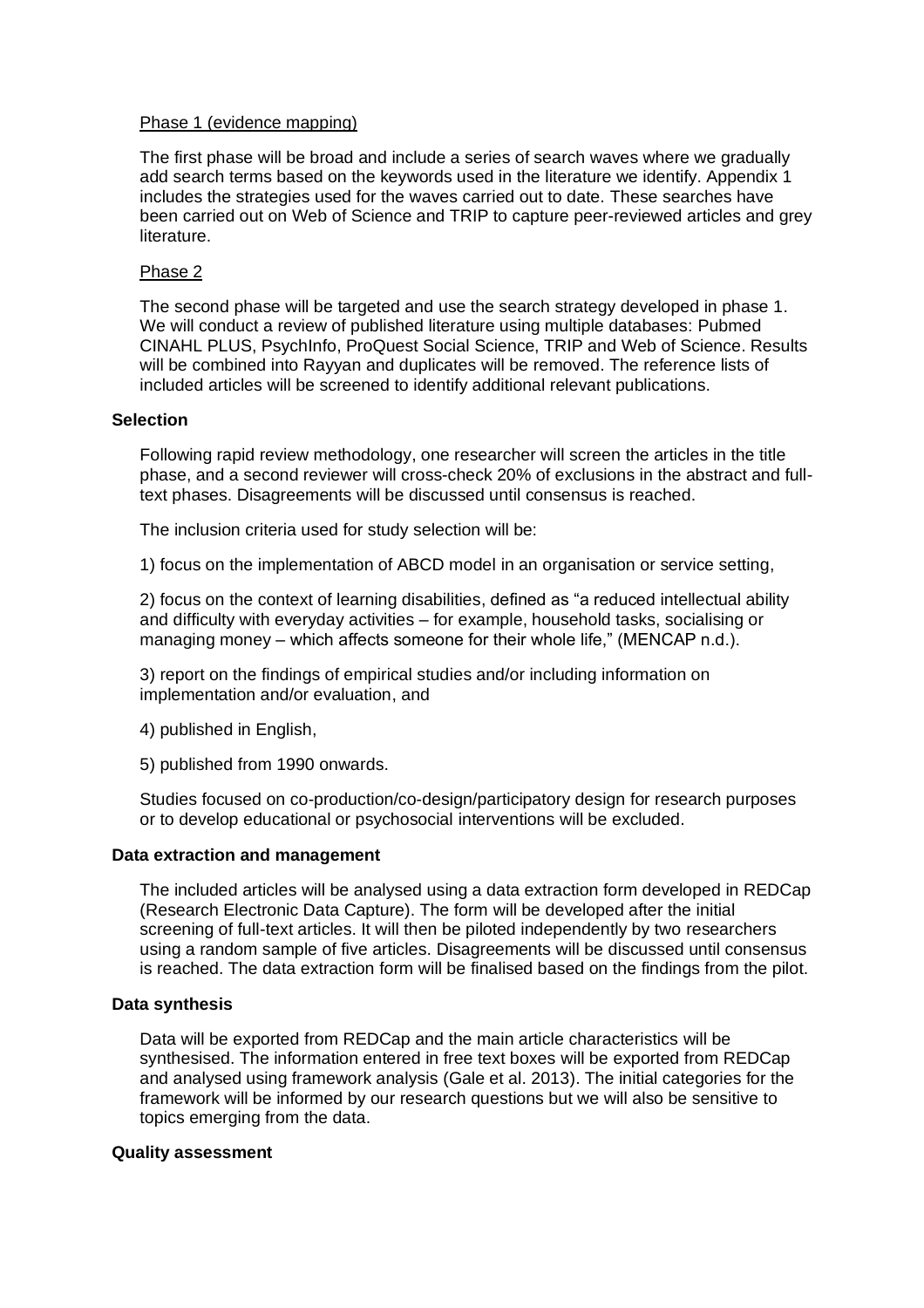### Phase 1 (evidence mapping)

The first phase will be broad and include a series of search waves where we gradually add search terms based on the keywords used in the literature we identify. Appendix 1 includes the strategies used for the waves carried out to date. These searches have been carried out on Web of Science and TRIP to capture peer-reviewed articles and grey literature.

### Phase 2

The second phase will be targeted and use the search strategy developed in phase 1. We will conduct a review of published literature using multiple databases: Pubmed CINAHL PLUS, PsychInfo, ProQuest Social Science, TRIP and Web of Science. Results will be combined into Rayyan and duplicates will be removed. The reference lists of included articles will be screened to identify additional relevant publications.

### **Selection**

Following rapid review methodology, one researcher will screen the articles in the title phase, and a second reviewer will cross-check 20% of exclusions in the abstract and fulltext phases. Disagreements will be discussed until consensus is reached.

The inclusion criteria used for study selection will be:

1) focus on the implementation of ABCD model in an organisation or service setting,

2) focus on the context of learning disabilities, defined as "a reduced intellectual ability and difficulty with everyday activities – for example, household tasks, socialising or managing money – which affects someone for their whole life," (MENCAP n.d.).

3) report on the findings of empirical studies and/or including information on implementation and/or evaluation, and

- 4) published in English,
- 5) published from 1990 onwards.

Studies focused on co-production/co-design/participatory design for research purposes or to develop educational or psychosocial interventions will be excluded.

#### **Data extraction and management**

The included articles will be analysed using a data extraction form developed in REDCap (Research Electronic Data Capture). The form will be developed after the initial screening of full-text articles. It will then be piloted independently by two researchers using a random sample of five articles. Disagreements will be discussed until consensus is reached. The data extraction form will be finalised based on the findings from the pilot.

## **Data synthesis**

Data will be exported from REDCap and the main article characteristics will be synthesised. The information entered in free text boxes will be exported from REDCap and analysed using framework analysis (Gale et al. 2013). The initial categories for the framework will be informed by our research questions but we will also be sensitive to topics emerging from the data.

#### **Quality assessment**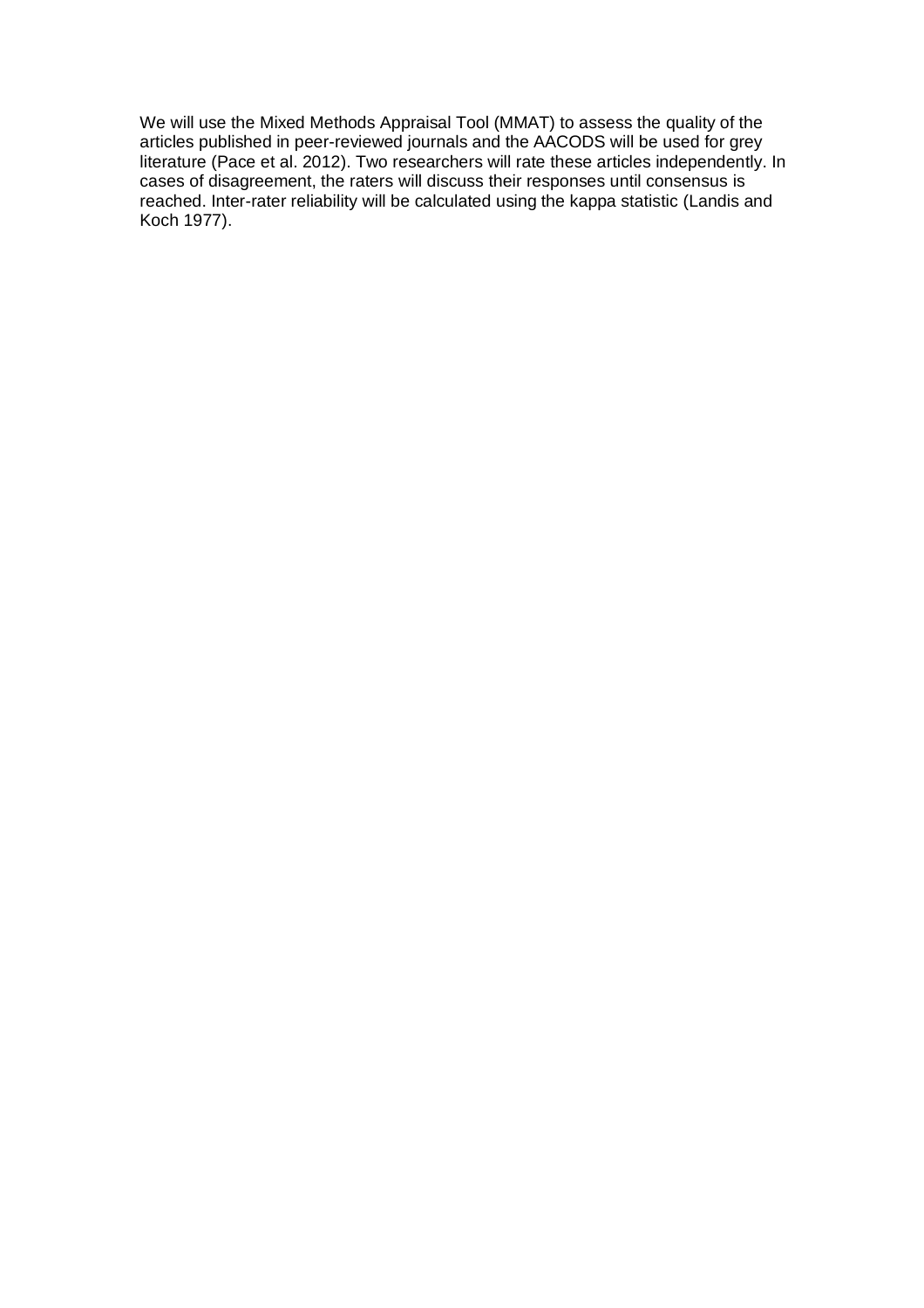We will use the Mixed Methods Appraisal Tool (MMAT) to assess the quality of the articles published in peer-reviewed journals and the AACODS will be used for grey literature (Pace et al. 2012). Two researchers will rate these articles independently. In cases of disagreement, the raters will discuss their responses until consensus is reached. Inter-rater reliability will be calculated using the kappa statistic (Landis and Koch 1977).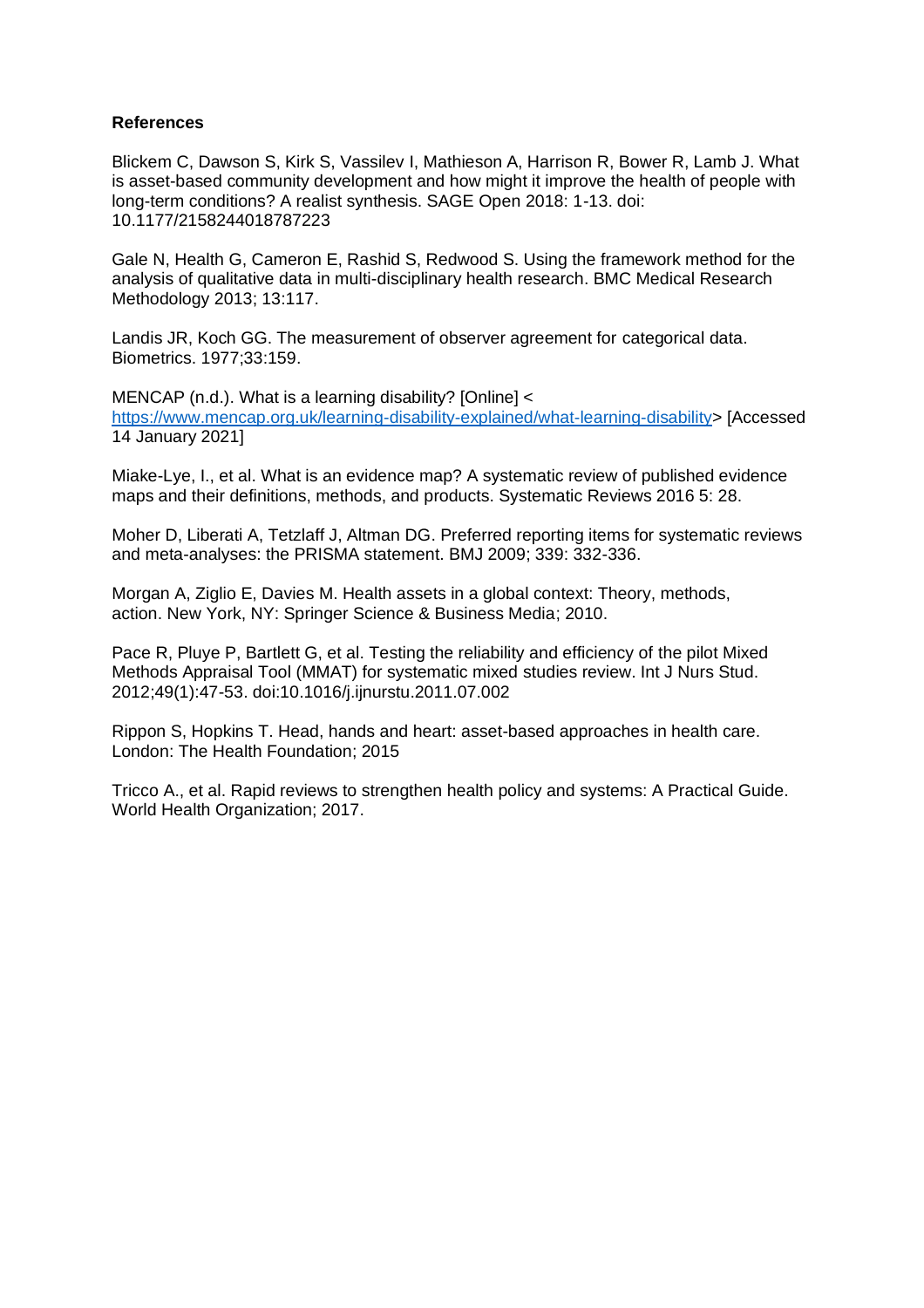## **References**

Blickem C, Dawson S, Kirk S, Vassilev I, Mathieson A, Harrison R, Bower R, Lamb J. What is asset-based community development and how might it improve the health of people with long-term conditions? A realist synthesis. SAGE Open 2018: 1-13. doi: 10.1177/2158244018787223

Gale N, Health G, Cameron E, Rashid S, Redwood S. Using the framework method for the analysis of qualitative data in multi-disciplinary health research. BMC Medical Research Methodology 2013; 13:117.

Landis JR, Koch GG. The measurement of observer agreement for categorical data. Biometrics. 1977;33:159.

MENCAP (n.d.). What is a learning disability? [Online] < [https://www.mencap.org.uk/learning-disability-explained/what-learning-disability>](https://www.mencap.org.uk/learning-disability-explained/what-learning-disability) [Accessed 14 January 2021]

Miake-Lye, I., et al. What is an evidence map? A systematic review of published evidence maps and their definitions, methods, and products. Systematic Reviews 2016 5: 28.

Moher D, Liberati A, Tetzlaff J, Altman DG. Preferred reporting items for systematic reviews and meta-analyses: the PRISMA statement. BMJ 2009; 339: 332-336.

Morgan A, Ziglio E, Davies M. Health assets in a global context: Theory, methods, action. New York, NY: Springer Science & Business Media; 2010.

Pace R, Pluye P, Bartlett G, et al. Testing the reliability and efficiency of the pilot Mixed Methods Appraisal Tool (MMAT) for systematic mixed studies review. Int J Nurs Stud. 2012;49(1):47-53. doi:10.1016/j.ijnurstu.2011.07.002

Rippon S, Hopkins T. Head, hands and heart: asset-based approaches in health care. London: The Health Foundation; 2015

Tricco A., et al. Rapid reviews to strengthen health policy and systems: A Practical Guide. World Health Organization; 2017.